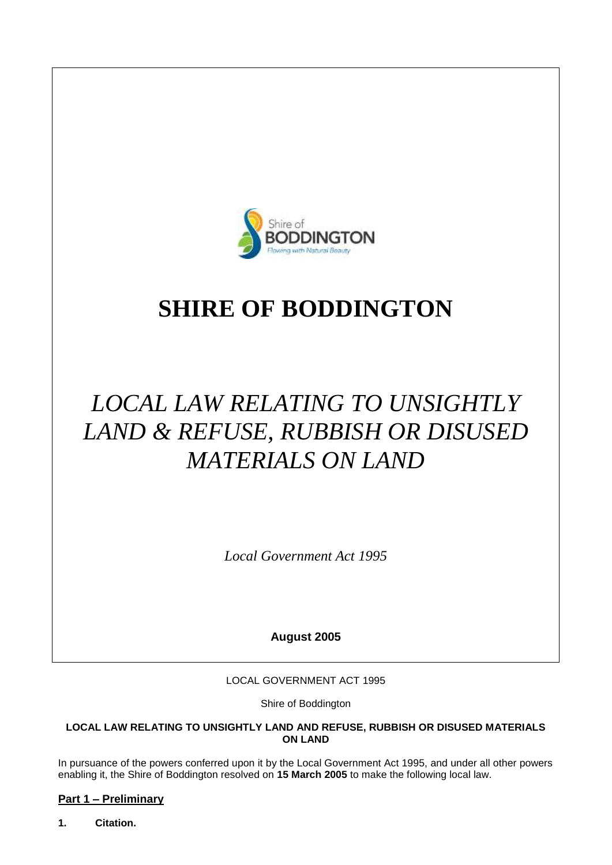

## **SHIRE OF BODDINGTON**

# *LOCAL LAW RELATING TO UNSIGHTLY LAND & REFUSE, RUBBISH OR DISUSED MATERIALS ON LAND*

*Local Government Act 1995*

**August 2005**

LOCAL GOVERNMENT ACT 1995

Shire of Boddington

#### **LOCAL LAW RELATING TO UNSIGHTLY LAND AND REFUSE, RUBBISH OR DISUSED MATERIALS ON LAND**

In pursuance of the powers conferred upon it by the Local Government Act 1995, and under all other powers enabling it, the Shire of Boddington resolved on **15 March 2005** to make the following local law.

## **Part 1 – Preliminary**

**1. Citation.**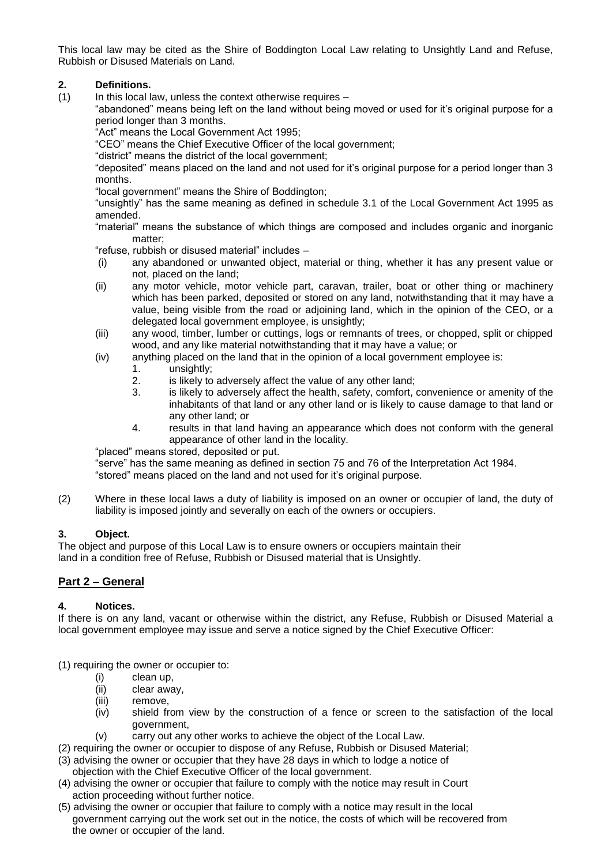This local law may be cited as the Shire of Boddington Local Law relating to Unsightly Land and Refuse, Rubbish or Disused Materials on Land.

#### **2. Definitions.**

 $(1)$  In this local law, unless the context otherwise requires –

"abandoned" means being left on the land without being moved or used for it's original purpose for a period longer than 3 months.

"Act" means the Local Government Act 1995;

"CEO" means the Chief Executive Officer of the local government;

"district" means the district of the local government;

"deposited" means placed on the land and not used for it's original purpose for a period longer than 3 months.

"local government" means the Shire of Boddington;

"unsightly" has the same meaning as defined in schedule 3.1 of the Local Government Act 1995 as amended.

"material" means the substance of which things are composed and includes organic and inorganic matter;

"refuse, rubbish or disused material" includes –

- (i) any abandoned or unwanted object, material or thing, whether it has any present value or not, placed on the land;
- (ii) any motor vehicle, motor vehicle part, caravan, trailer, boat or other thing or machinery which has been parked, deposited or stored on any land, notwithstanding that it may have a value, being visible from the road or adjoining land, which in the opinion of the CEO, or a delegated local government employee, is unsightly;
- (iii) any wood, timber, lumber or cuttings, logs or remnants of trees, or chopped, split or chipped wood, and any like material notwithstanding that it may have a value; or
- (iv) anything placed on the land that in the opinion of a local government employee is:
	- 1. unsightly;
	- 2. is likely to adversely affect the value of any other land;
	- 3. is likely to adversely affect the health, safety, comfort, convenience or amenity of the inhabitants of that land or any other land or is likely to cause damage to that land or any other land; or
	- 4. results in that land having an appearance which does not conform with the general appearance of other land in the locality.

"placed" means stored, deposited or put.

"serve" has the same meaning as defined in section 75 and 76 of the Interpretation Act 1984. "stored" means placed on the land and not used for it's original purpose.

(2) Where in these local laws a duty of liability is imposed on an owner or occupier of land, the duty of liability is imposed jointly and severally on each of the owners or occupiers.

#### **3. Object.**

The object and purpose of this Local Law is to ensure owners or occupiers maintain their land in a condition free of Refuse, Rubbish or Disused material that is Unsightly.

#### **Part 2 – General**

#### **4. Notices.**

If there is on any land, vacant or otherwise within the district, any Refuse, Rubbish or Disused Material a local government employee may issue and serve a notice signed by the Chief Executive Officer:

(1) requiring the owner or occupier to:

- (i) clean up,
- (ii) clear away,
- (iii) remove,
- (iv) shield from view by the construction of a fence or screen to the satisfaction of the local government,
- (v) carry out any other works to achieve the object of the Local Law.
- (2) requiring the owner or occupier to dispose of any Refuse, Rubbish or Disused Material;
- (3) advising the owner or occupier that they have 28 days in which to lodge a notice of objection with the Chief Executive Officer of the local government.
- (4) advising the owner or occupier that failure to comply with the notice may result in Court action proceeding without further notice.
- (5) advising the owner or occupier that failure to comply with a notice may result in the local government carrying out the work set out in the notice, the costs of which will be recovered from the owner or occupier of the land.